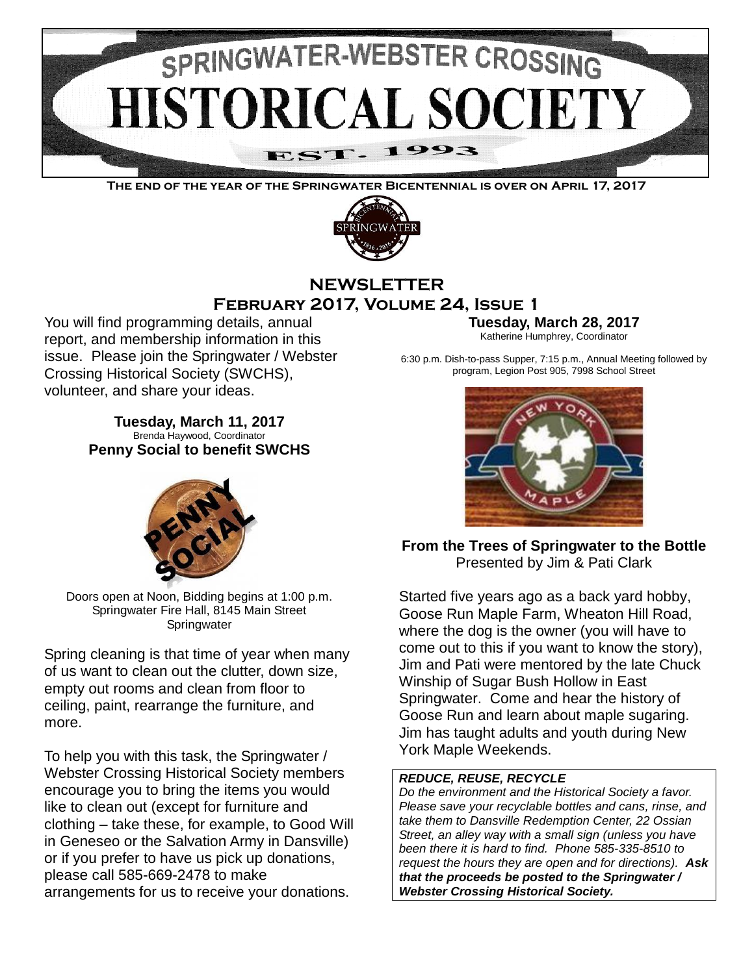

**The end of the year of the Springwater Bicentennial is over on April 17, 2017**



## **NEWSLETTER February 2017, Volume 24, Issue 1**

You will find programming details, annual report, and membership information in this issue. Please join the Springwater / Webster Crossing Historical Society (SWCHS), volunteer, and share your ideas.

> **Tuesday, March 11, 2017** Brenda Haywood, Coordinator **Penny Social to benefit SWCHS**



Doors open at Noon, Bidding begins at 1:00 p.m. Springwater Fire Hall, 8145 Main Street **Springwater** 

Spring cleaning is that time of year when many of us want to clean out the clutter, down size, empty out rooms and clean from floor to ceiling, paint, rearrange the furniture, and more.

To help you with this task, the Springwater / Webster Crossing Historical Society members encourage you to bring the items you would like to clean out (except for furniture and clothing – take these, for example, to Good Will in Geneseo or the Salvation Army in Dansville) or if you prefer to have us pick up donations, please call 585-669-2478 to make arrangements for us to receive your donations.

**Tuesday, March 28, 2017** Katherine Humphrey, Coordinator

6:30 p.m. Dish-to-pass Supper, 7:15 p.m., Annual Meeting followed by program, Legion Post 905, 7998 School Street



**From the Trees of Springwater to the Bottle** Presented by Jim & Pati Clark

Started five years ago as a back yard hobby, Goose Run Maple Farm, Wheaton Hill Road, where the dog is the owner (you will have to come out to this if you want to know the story), Jim and Pati were mentored by the late Chuck Winship of Sugar Bush Hollow in East Springwater. Come and hear the history of Goose Run and learn about maple sugaring. Jim has taught adults and youth during New York Maple Weekends.

### *REDUCE, REUSE, RECYCLE*

*Do the environment and the Historical Society a favor. Please save your recyclable bottles and cans, rinse, and take them to Dansville Redemption Center, 22 Ossian Street, an alley way with a small sign (unless you have been there it is hard to find. Phone 585-335-8510 to request the hours they are open and for directions). Ask that the proceeds be posted to the Springwater / Webster Crossing Historical Society.*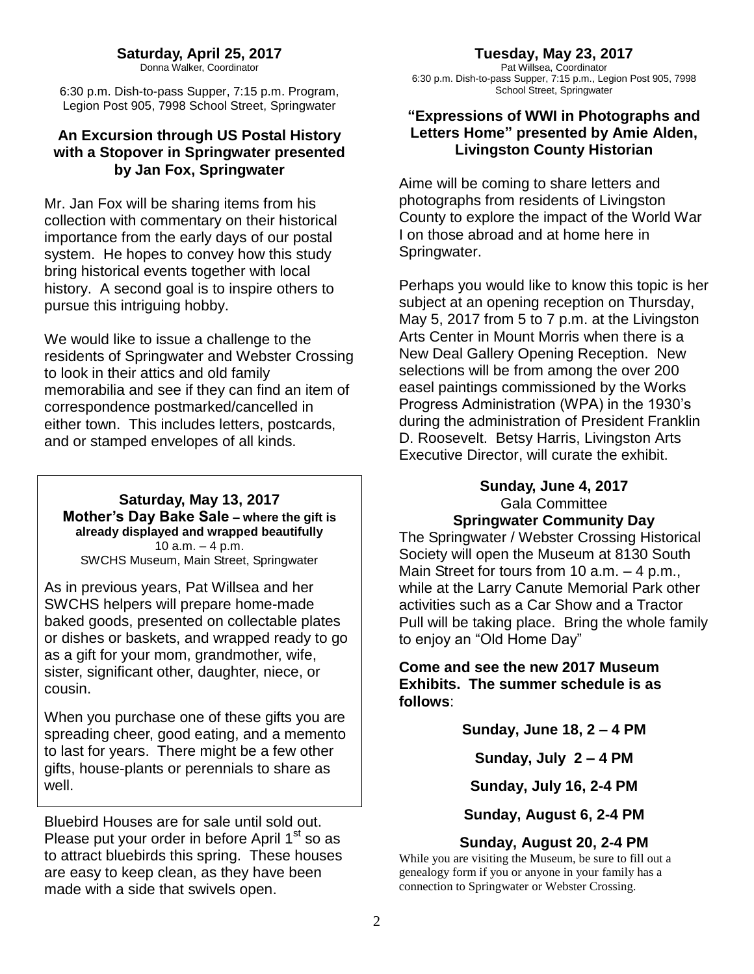## **Saturday, April 25, 2017**

Donna Walker, Coordinator

6:30 p.m. Dish-to-pass Supper, 7:15 p.m. Program, Legion Post 905, 7998 School Street, Springwater

### **An Excursion through US Postal History with a Stopover in Springwater presented by Jan Fox, Springwater**

Mr. Jan Fox will be sharing items from his collection with commentary on their historical importance from the early days of our postal system. He hopes to convey how this study bring historical events together with local history. A second goal is to inspire others to pursue this intriguing hobby.

We would like to issue a challenge to the residents of Springwater and Webster Crossing to look in their attics and old family memorabilia and see if they can find an item of correspondence postmarked/cancelled in either town. This includes letters, postcards, and or stamped envelopes of all kinds.

#### **Saturday, May 13, 2017 Mother's Day Bake Sale – where the gift is already displayed and wrapped beautifully** 10  $a.m. - 4 p.m.$ SWCHS Museum, Main Street, Springwater

As in previous years, Pat Willsea and her SWCHS helpers will prepare home-made baked goods, presented on collectable plates or dishes or baskets, and wrapped ready to go as a gift for your mom, grandmother, wife, sister, significant other, daughter, niece, or cousin.

When you purchase one of these gifts you are spreading cheer, good eating, and a memento to last for years. There might be a few other gifts, house-plants or perennials to share as well.

Bluebird Houses are for sale until sold out. Please put your order in before April 1<sup>st</sup> so as to attract bluebirds this spring. These houses are easy to keep clean, as they have been made with a side that swivels open.

## **Tuesday, May 23, 2017**

Pat Willsea, Coordinator 6:30 p.m. Dish-to-pass Supper, 7:15 p.m., Legion Post 905, 7998 School Street, Springwater

### **"Expressions of WWI in Photographs and Letters Home" presented by Amie Alden, Livingston County Historian**

Aime will be coming to share letters and photographs from residents of Livingston County to explore the impact of the World War I on those abroad and at home here in Springwater.

Perhaps you would like to know this topic is her subject at an opening reception on Thursday, May 5, 2017 from 5 to 7 p.m. at the Livingston Arts Center in Mount Morris when there is a New Deal Gallery Opening Reception. New selections will be from among the over 200 easel paintings commissioned by the Works Progress Administration (WPA) in the 1930's during the administration of President Franklin D. Roosevelt. Betsy Harris, Livingston Arts Executive Director, will curate the exhibit.

## **Sunday, June 4, 2017** Gala Committee **Springwater Community Day**

The Springwater / Webster Crossing Historical Society will open the Museum at 8130 South Main Street for tours from 10 a.m. – 4 p.m., while at the Larry Canute Memorial Park other activities such as a Car Show and a Tractor Pull will be taking place. Bring the whole family to enjoy an "Old Home Day"

**Come and see the new 2017 Museum Exhibits. The summer schedule is as follows**:

**Sunday, June 18, 2 – 4 PM**

**Sunday, July 2 – 4 PM**

**Sunday, July 16, 2-4 PM**

**Sunday, August 6, 2-4 PM**

## **Sunday, August 20, 2-4 PM**

While you are visiting the Museum, be sure to fill out a genealogy form if you or anyone in your family has a connection to Springwater or Webster Crossing.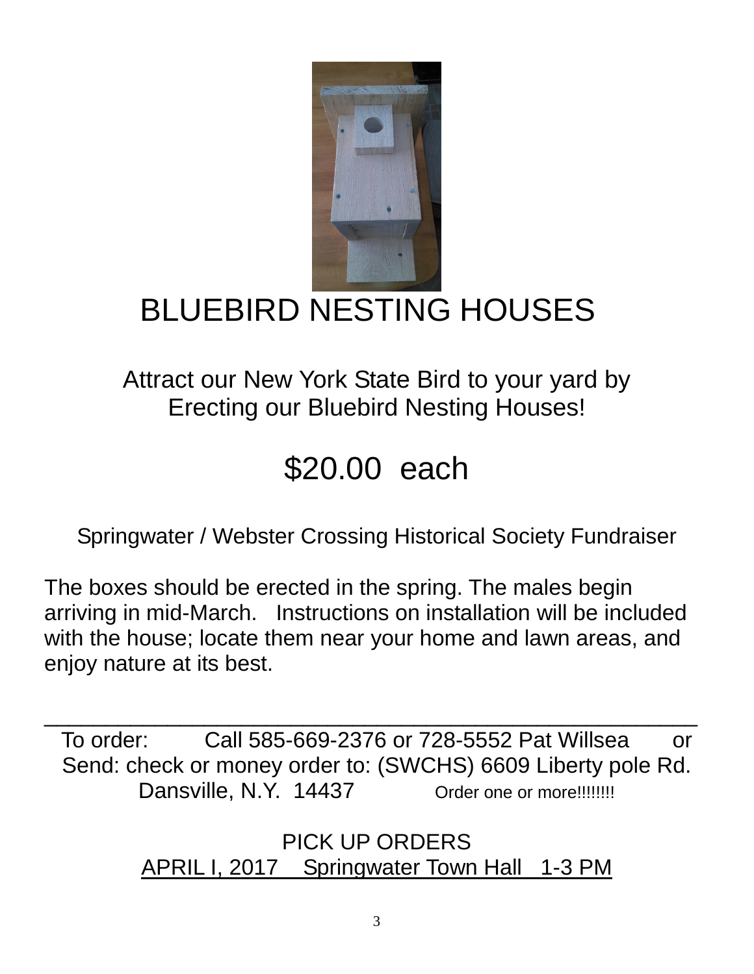

# BLUEBIRD NESTING HOUSES

## Attract our New York State Bird to your yard by Erecting our Bluebird Nesting Houses!

## \$20.00 each

Springwater / Webster Crossing Historical Society Fundraiser

The boxes should be erected in the spring. The males begin arriving in mid-March. Instructions on installation will be included with the house; locate them near your home and lawn areas, and enjoy nature at its best.

\_\_\_\_\_\_\_\_\_\_\_\_\_\_\_\_\_\_\_\_\_\_\_\_\_\_\_\_\_\_\_\_\_\_\_\_\_\_\_\_\_\_\_\_\_\_\_\_\_\_\_\_\_ To order: Call 585-669-2376 or 728-5552 Pat Willsea or Send: check or money order to: (SWCHS) 6609 Liberty pole Rd. Dansville, N.Y. 14437 Order one or more!!!!!!!!!

> PICK UP ORDERS APRIL I, 2017 Springwater Town Hall 1-3 PM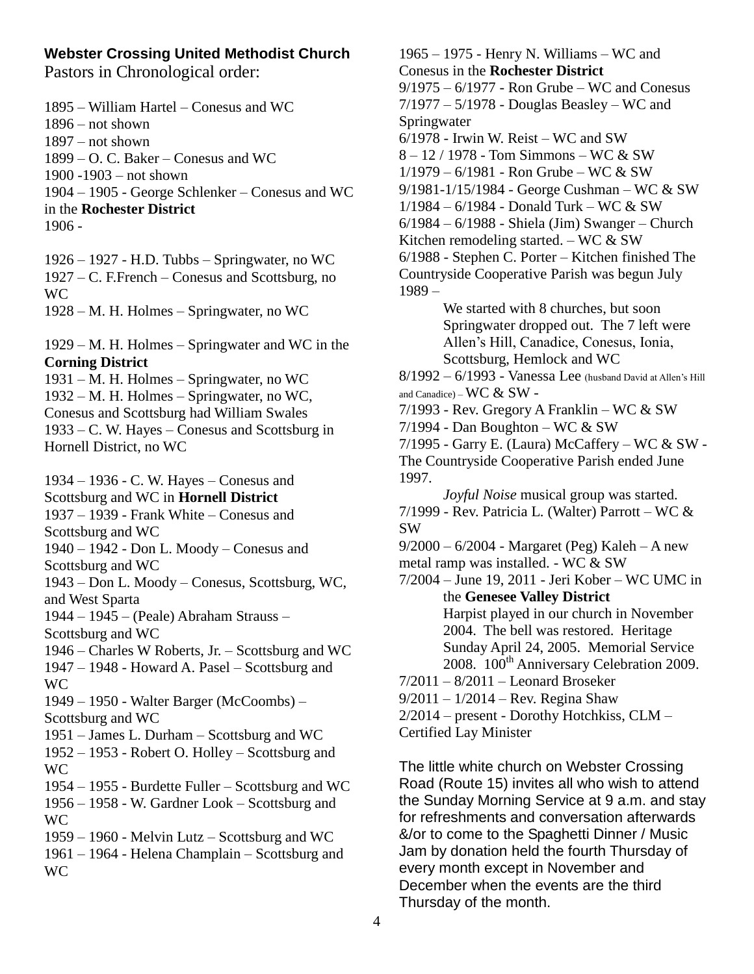## **Webster Crossing United Methodist Church**

Pastors in Chronological order:

1895 – William Hartel – Conesus and WC

1896 – not shown

1897 – not shown

1899 – O. C. Baker – Conesus and WC

1900 -1903 – not shown

1904 – 1905 - George Schlenker – Conesus and WC in the **Rochester District**

1906 -

1926 – 1927 - H.D. Tubbs – Springwater, no WC 1927 – C. F.French – Conesus and Scottsburg, no WC

1928 – M. H. Holmes – Springwater, no WC

1929 – M. H. Holmes – Springwater and WC in the **Corning District**

1931 – M. H. Holmes – Springwater, no WC 1932 – M. H. Holmes – Springwater, no WC, Conesus and Scottsburg had William Swales 1933 – C. W. Hayes – Conesus and Scottsburg in Hornell District, no WC

1934 – 1936 - C. W. Hayes – Conesus and Scottsburg and WC in **Hornell District** 1937 – 1939 - Frank White – Conesus and Scottsburg and WC 1940 – 1942 - Don L. Moody – Conesus and Scottsburg and WC 1943 – Don L. Moody – Conesus, Scottsburg, WC, and West Sparta 1944 – 1945 – (Peale) Abraham Strauss – Scottsburg and WC 1946 – Charles W Roberts, Jr. – Scottsburg and WC 1947 – 1948 - Howard A. Pasel – Scottsburg and WC 1949 – 1950 - Walter Barger (McCoombs) – Scottsburg and WC 1951 – James L. Durham – Scottsburg and WC 1952 – 1953 - Robert O. Holley – Scottsburg and WC 1954 – 1955 - Burdette Fuller – Scottsburg and WC 1956 – 1958 - W. Gardner Look – Scottsburg and WC 1959 – 1960 - Melvin Lutz – Scottsburg and WC 1961 – 1964 - Helena Champlain – Scottsburg and WC

1965 – 1975 - Henry N. Williams – WC and Conesus in the **Rochester District** 9/1975 – 6/1977 - Ron Grube – WC and Conesus  $7/1977 - 5/1978$  - Douglas Beasley – WC and Springwater 6/1978 - Irwin W. Reist – WC and SW 8 – 12 / 1978 - Tom Simmons – WC & SW 1/1979 – 6/1981 - Ron Grube – WC & SW 9/1981-1/15/1984 - George Cushman – WC & SW 1/1984 – 6/1984 - Donald Turk – WC & SW 6/1984 – 6/1988 - Shiela (Jim) Swanger – Church Kitchen remodeling started.  $-$  WC  $\&$  SW 6/1988 - Stephen C. Porter – Kitchen finished The Countryside Cooperative Parish was begun July 1989 – We started with 8 churches, but soon Springwater dropped out. The 7 left were Allen's Hill, Canadice, Conesus, Ionia, Scottsburg, Hemlock and WC 8/1992 – 6/1993 - Vanessa Lee (husband David at Allen's Hill and Canadice) –  $WC & SW 7/1993$  - Rev. Gregory A Franklin – WC & SW  $7/1994$  - Dan Boughton – WC & SW 7/1995 - Garry E. (Laura) McCaffery – WC & SW - The Countryside Cooperative Parish ended June 1997. *Joyful Noise* musical group was started. 7/1999 - Rev. Patricia L. (Walter) Parrott – WC  $\&$ SW 9/2000 – 6/2004 - Margaret (Peg) Kaleh – A new metal ramp was installed. - WC & SW 7/2004 – June 19, 2011 - Jeri Kober – WC UMC in the **Genesee Valley District** Harpist played in our church in November 2004. The bell was restored. Heritage Sunday April 24, 2005. Memorial Service 2008. 100<sup>th</sup> Anniversary Celebration 2009. 7/2011 – 8/2011 – Leonard Broseker  $9/2011 - 1/2014 - Rev$ . Regina Shaw 2/2014 – present - Dorothy Hotchkiss, CLM –

Certified Lay Minister

The little white church on Webster Crossing Road (Route 15) invites all who wish to attend the Sunday Morning Service at 9 a.m. and stay for refreshments and conversation afterwards &/or to come to the Spaghetti Dinner / Music Jam by donation held the fourth Thursday of every month except in November and December when the events are the third Thursday of the month.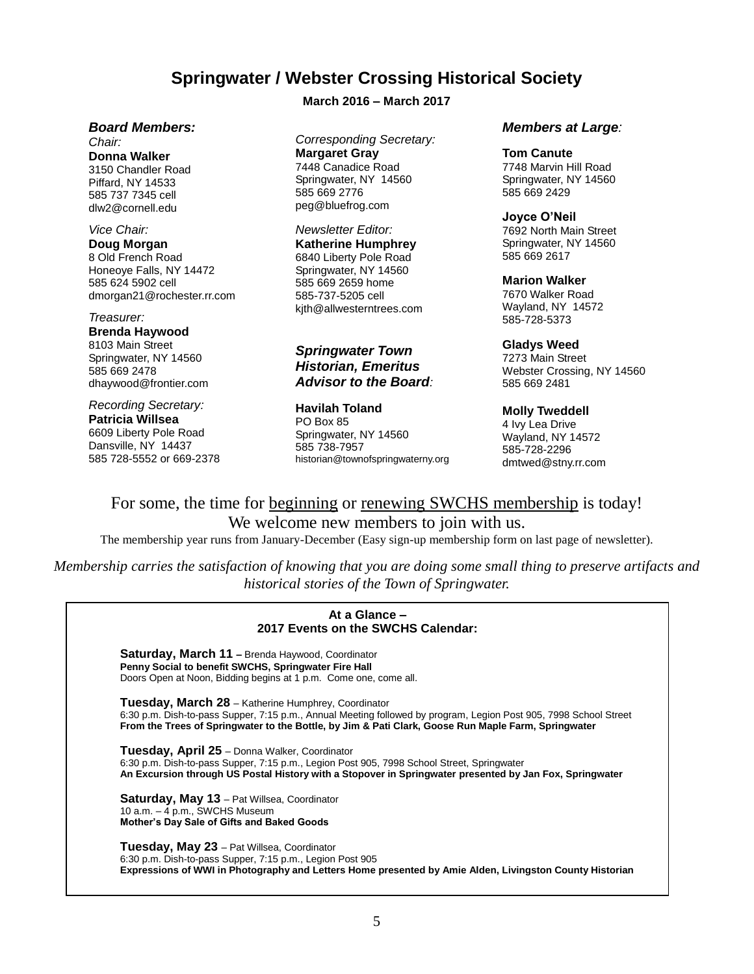## **Springwater / Webster Crossing Historical Society**

#### *Board Members:*

*Chair:* **Donna Walker** 3150 Chandler Road Piffard, NY 14533 585 737 7345 cell dlw2@cornell.edu

## *Vice Chair:*

**Doug Morgan** 8 Old French Road Honeoye Falls, NY 14472 585 624 5902 cell dmorgan21@rochester.rr.com

#### *Treasurer:*

**Brenda Haywood** 8103 Main Street Springwater, NY 14560 585 669 2478 dhaywood@frontier.com

#### *Recording Secretary:* **Patricia Willsea** 6609 Liberty Pole Road Dansville, NY 14437 585 728-5552 or 669-2378

#### **March 2016 – March 2017**

*Corresponding Secretary:* **Margaret Gray** 7448 Canadice Road Springwater, NY 14560 585 669 2776 peg@bluefrog.com

#### *Newsletter Editor:* **Katherine Humphrey**

6840 Liberty Pole Road Springwater, NY 14560 585 669 2659 home 585-737-5205 cell kjth@allwesterntrees.com

#### *Springwater Town Historian, Emeritus Advisor to the Board:*

#### **Havilah Toland** PO Box 85 Springwater, NY 14560 585 738-7957 historian@townofspringwaterny.org

#### *Members at Large:*

**Tom Canute** 7748 Marvin Hill Road Springwater, NY 14560 585 669 2429

**Joyce O'Neil** 7692 North Main Street Springwater, NY 14560 585 669 2617

**Marion Walker** 7670 Walker Road Wayland, NY 14572 585-728-5373

**Gladys Weed** 7273 Main Street Webster Crossing, NY 14560 585 669 2481

**Molly Tweddell** 4 Ivy Lea Drive Wayland, NY 14572 585-728-2296 dmtwed@stny.rr.com

## For some, the time for beginning or renewing SWCHS membership is today! We welcome new members to join with us.

The membership year runs from January-December (Easy sign-up membership form on last page of newsletter).

*Membership carries the satisfaction of knowing that you are doing some small thing to preserve artifacts and historical stories of the Town of Springwater.*

## **At a Glance – 2017 Events on the SWCHS Calendar:**

**Saturday, March 11 –** Brenda Haywood, Coordinator **Penny Social to benefit SWCHS, Springwater Fire Hall** Doors Open at Noon, Bidding begins at 1 p.m. Come one, come all.

**Tuesday, March 28** – Katherine Humphrey, Coordinator 6:30 p.m. Dish-to-pass Supper, 7:15 p.m., Annual Meeting followed by program, Legion Post 905, 7998 School Street **From the Trees of Springwater to the Bottle, by Jim & Pati Clark, Goose Run Maple Farm, Springwater**

**Tuesday, April 25** – Donna Walker, Coordinator 6:30 p.m. Dish-to-pass Supper, 7:15 p.m., Legion Post 905, 7998 School Street, Springwater **An Excursion through US Postal History with a Stopover in Springwater presented by Jan Fox, Springwater**

**Saturday, May 13** – Pat Willsea, Coordinator 10 a.m. – 4 p.m., SWCHS Museum **Mother's Day Sale of Gifts and Baked Goods**

**Tuesday, May 23** – Pat Willsea, Coordinator 6:30 p.m. Dish-to-pass Supper, 7:15 p.m., Legion Post 905 **Expressions of WWI in Photography and Letters Home presented by Amie Alden, Livingston County Historian**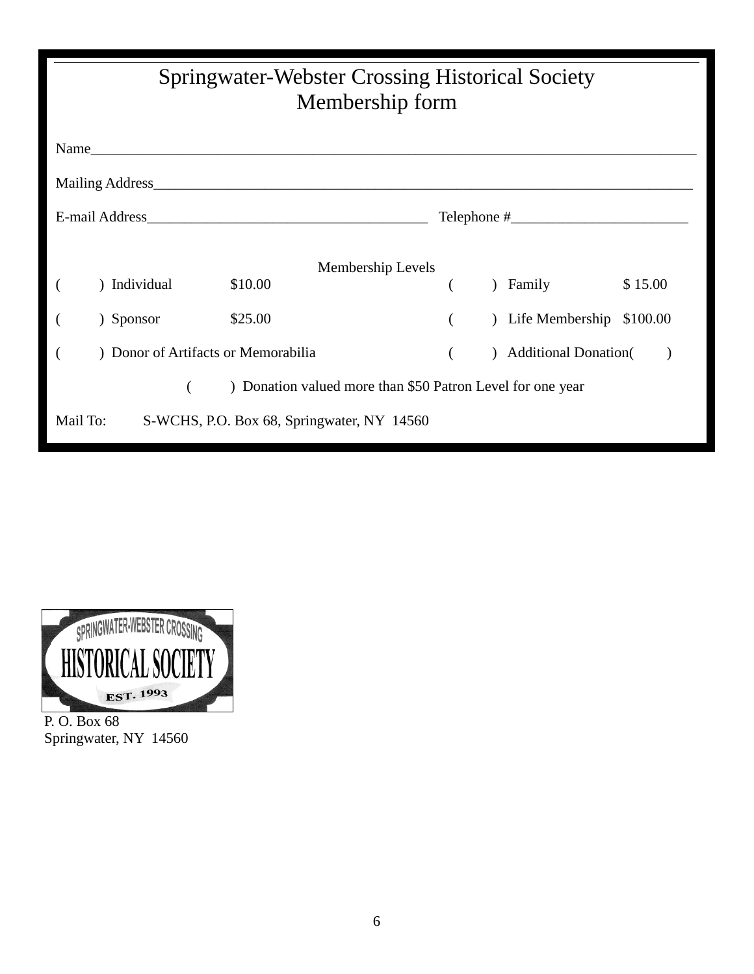| <b>Springwater-Webster Crossing Historical Society</b><br>Membership form |                              |                      |  |                            |         |  |  |  |  |
|---------------------------------------------------------------------------|------------------------------|----------------------|--|----------------------------|---------|--|--|--|--|
|                                                                           | Name                         |                      |  |                            |         |  |  |  |  |
|                                                                           |                              |                      |  |                            |         |  |  |  |  |
|                                                                           |                              | $\text{Telephone}$ # |  |                            |         |  |  |  |  |
| Individual                                                                | Membership Levels<br>\$10.00 |                      |  | Family                     | \$15.00 |  |  |  |  |
| ) Sponsor                                                                 | \$25.00                      |                      |  | Life Membership \$100.00   |         |  |  |  |  |
| Donor of Artifacts or Memorabilia                                         |                              |                      |  | <b>Additional Donation</b> |         |  |  |  |  |
| ) Donation valued more than \$50 Patron Level for one year                |                              |                      |  |                            |         |  |  |  |  |
| Mail To:<br>S-WCHS, P.O. Box 68, Springwater, NY 14560                    |                              |                      |  |                            |         |  |  |  |  |



P. O. Box 68 Springwater, NY 14560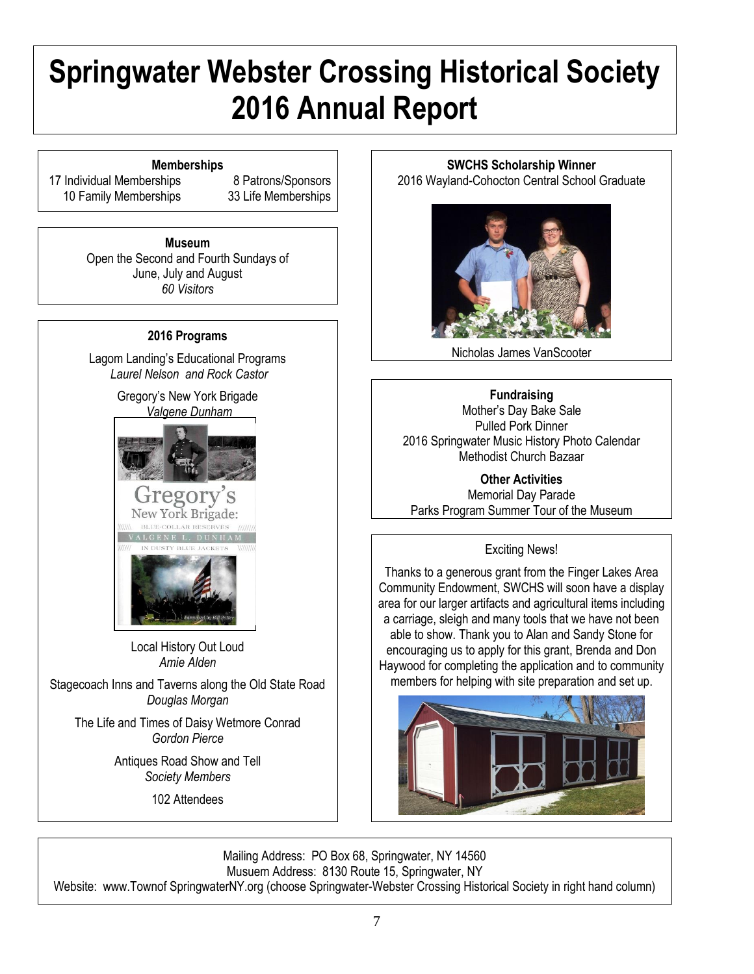## **Springwater Webster Crossing Historical Society 2016 Annual Report**

17 Individual Memberships 10 Family Memberships

8 Patrons/Sponsors 33 Life Memberships

#### **Museum**

Open the Second and Fourth Sundays of June, July and August *60 Visitors*

### **2016 Programs**

Lagom Landing's Educational Programs *Laurel Nelson and Rock Castor*

> Gregory's New York Brigade *Valgene Dunham*





Local History Out Loud *Amie Alden*

Stagecoach Inns and Taverns along the Old State Road *Douglas Morgan*

The Life and Times of Daisy Wetmore Conrad *Gordon Pierce*

> Antiques Road Show and Tell *Society Members*

> > 102 Attendees

**Memberships SWCHS Scholarship Winner**

2016 Wayland-Cohocton Central School Graduate



Nicholas James VanScooter

### **Fundraising**

Mother's Day Bake Sale Pulled Pork Dinner 2016 Springwater Music History Photo Calendar Methodist Church Bazaar

**Other Activities** Memorial Day Parade Parks Program Summer Tour of the Museum

### Exciting News!

Thanks to a generous grant from the Finger Lakes Area Community Endowment, SWCHS will soon have a display area for our larger artifacts and agricultural items including a carriage, sleigh and many tools that we have not been able to show. Thank you to Alan and Sandy Stone for encouraging us to apply for this grant, Brenda and Don Haywood for completing the application and to community members for helping with site preparation and set up.



Mailing Address: PO Box 68, Springwater, NY 14560 Musuem Address: 8130 Route 15, Springwater, NY Website: www.Townof SpringwaterNY.org (choose Springwater-Webster Crossing Historical Society in right hand column)